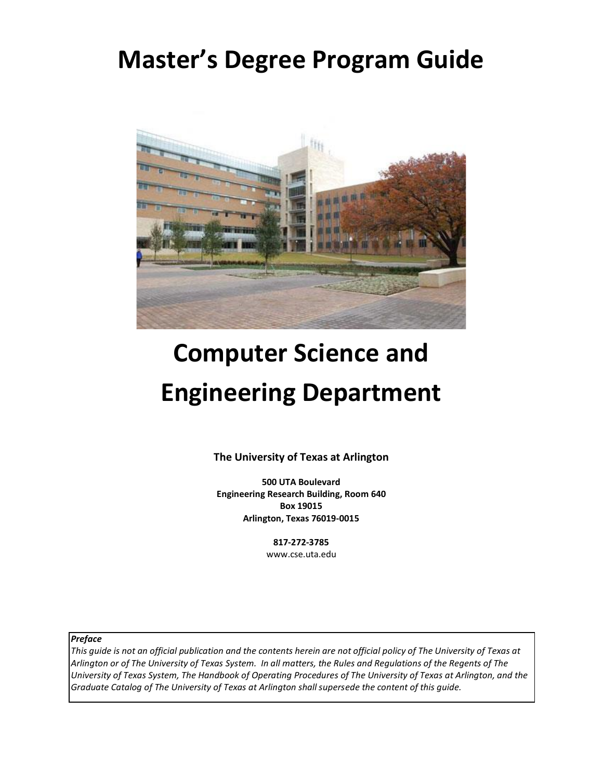# **Master's Degree Program Guide**



# **Computer Science and Engineering Department**

**The University of Texas at Arlington**

**500 UTA Boulevard Engineering Research Building, Room 640 Box 19015 Arlington, Texas 76019-0015**

> **817-272-3785** [www.cse.uta.edu](http://www.cse.uta.edu/)

*Preface*

*This guide is not an official publication and the contents herein are not official policy of The University of Texas at Arlington or of The University of Texas System. In all matters, the Rules and Regulations of the Regents of The University of Texas System, The Handbook of Operating Procedures of The University of Texas at Arlington, and the Graduate Catalog of The University of Texas at Arlington shall supersede the content of this guide.*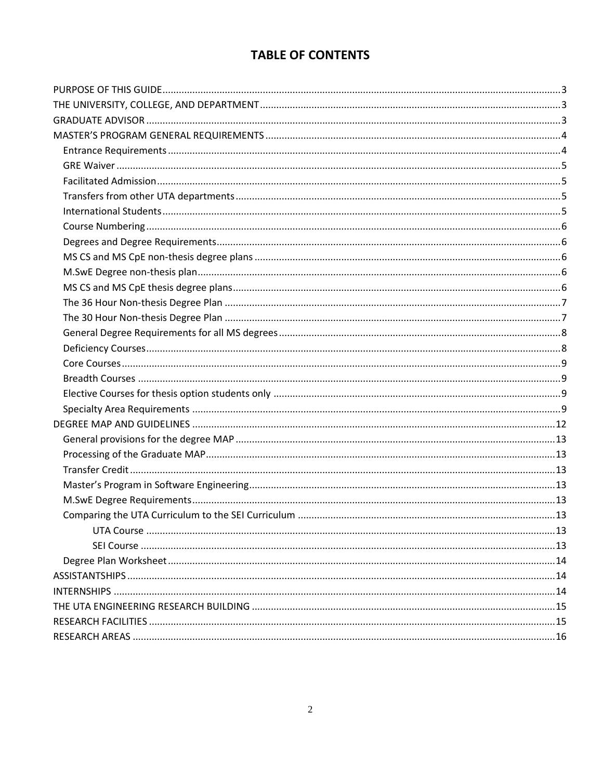# **TABLE OF CONTENTS**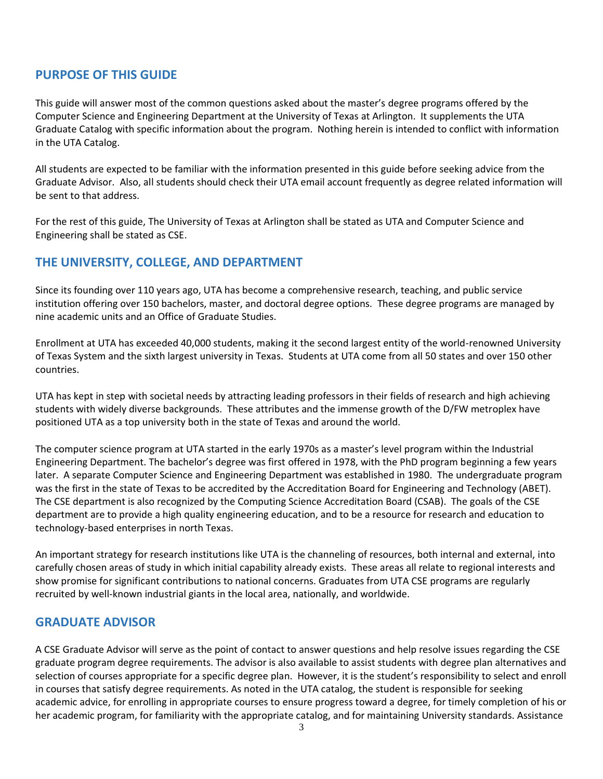# <span id="page-2-0"></span>**PURPOSE OF THIS GUIDE**

This guide will answer most of the common questions asked about the master's degree programs offered by the Computer Science and Engineering Department at the University of Texas at Arlington. It supplements the UTA Graduate Catalog with specific information about the program. Nothing herein is intended to conflict with information in the UTA Catalog.

All students are expected to be familiar with the information presented in this guide before seeking advice from the Graduate Advisor. Also, all students should check their UTA email account frequently as degree related information will be sent to that address.

For the rest of this guide, The University of Texas at Arlington shall be stated as UTA and Computer Science and Engineering shall be stated as CSE.

# <span id="page-2-1"></span>**THE UNIVERSITY, COLLEGE, AND DEPARTMENT**

Since its founding over 110 years ago, UTA has become a comprehensive research, teaching, and public service institution offering over 150 bachelors, master, and doctoral degree options. These degree programs are managed by nine academic units and an Office of Graduate Studies.

Enrollment at UTA has exceeded 40,000 students, making it the second largest entity of the world-renowned University of Texas System and the sixth largest university in Texas. Students at UTA come from all 50 states and over 150 other countries.

UTA has kept in step with societal needs by attracting leading professors in their fields of research and high achieving students with widely diverse backgrounds. These attributes and the immense growth of the D/FW metroplex have positioned UTA as a top university both in the state of Texas and around the world.

The computer science program at UTA started in the early 1970s as a master's level program within the Industrial Engineering Department. The bachelor's degree was first offered in 1978, with the PhD program beginning a few years later. A separate Computer Science and Engineering Department was established in 1980. The undergraduate program was the first in the state of Texas to be accredited by the Accreditation Board for Engineering and Technology (ABET). The CSE department is also recognized by the Computing Science Accreditation Board (CSAB). The goals of the CSE department are to provide a high quality engineering education, and to be a resource for research and education to technology-based enterprises in north Texas.

An important strategy for research institutions like UTA is the channeling of resources, both internal and external, into carefully chosen areas of study in which initial capability already exists. These areas all relate to regional interests and show promise for significant contributions to national concerns. Graduates from UTA CSE programs are regularly recruited by well-known industrial giants in the local area, nationally, and worldwide.

#### <span id="page-2-2"></span>**GRADUATE ADVISOR**

A CSE Graduate Advisor will serve as the point of contact to answer questions and help resolve issues regarding the CSE graduate program degree requirements. The advisor is also available to assist students with degree plan alternatives and selection of courses appropriate for a specific degree plan. However, it is the student's responsibility to select and enroll in courses that satisfy degree requirements. As noted in the UTA catalog, the student is responsible for seeking academic advice, for enrolling in appropriate courses to ensure progress toward a degree, for timely completion of his or her academic program, for familiarity with the appropriate catalog, and for maintaining University standards. Assistance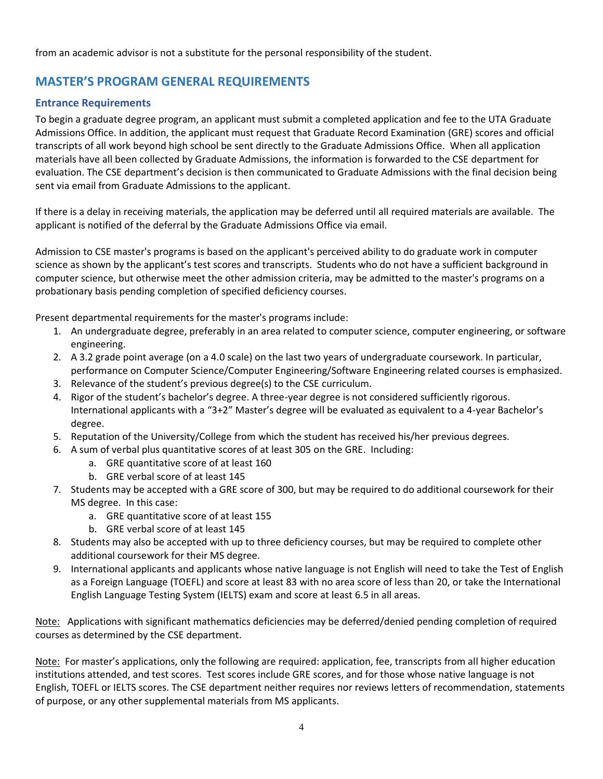from an academic advisor is not a substitute for the personal responsibility of the student.

# <span id="page-3-0"></span>**MASTER'S PROGRAM GENERAL REQUIREMENTS**

#### <span id="page-3-1"></span>**Entrance Requirements**

To begin a graduate degree program, an applicant must submit a completed application and fee to the UTA [Graduate](http://www.uta.edu/gradstudies/)  [Admissions Office.](http://www.uta.edu/gradstudies/) In addition, the applicant must request that Graduate Record Examination (GRE) scores and official transcripts of all work beyond high school be sent directly to the Graduate Admissions Office. When all application materials have all been collected by Graduate Admissions, the information is forwarded to the CSE department for evaluation. The CSE department's decision is then communicated to Graduate Admissions with the final decision being sent via email from Graduate Admissions to the applicant.

If there is a delay in receiving materials, the application may be deferred until all required materials are available. The applicant is notified of the deferral by the Graduate Admissions Office via email.

Admission to CSE master's programs is based on the applicant's perceived ability to do graduate work in computer science as shown by the applicant's test scores and transcripts. Students who do not have a sufficient background in computer science, but otherwise meet the other admission criteria, may be admitted to the master's programs on a probationary basis pending completion of specified deficiency courses.

Present departmental requirements for the master's programs include:

- 1. An undergraduate degree, preferably in an area related to computer science, computer engineering, or software engineering.
- 2. A 3.2 grade point average (on a 4.0 scale) on the last two years of undergraduate coursework. In particular, performance on Computer Science/Computer Engineering/Software Engineering related courses is emphasized.
- 3. Relevance of the student's previous degree(s) to the CSE curriculum.
- 4. Rigor of the student's bachelor's degree. A three-year degree is not considered sufficiently rigorous. International applicants with a "3+2" Master's degree will be evaluated as equivalent to a 4-year Bachelor's degree.
- 5. Reputation of the University/College from which the student has received his/her previous degrees.
- 6. A sum of verbal plus quantitative scores of at least 305 on the GRE. Including:
	- a. GRE quantitative score of at least 160
	- b. GRE verbal score of at least 145
- 7. Students may be accepted with a GRE score of 300, but may be required to do additional coursework for their MS degree. In this case:
	- a. GRE quantitative score of at least 155
	- b. GRE verbal score of at least 145
- 8. Students may also be accepted with up to three deficiency courses, but may be required to complete other additional coursework for their MS degree.
- 9. International applicants and applicants whose native language is not English will need to take the Test of English as a Foreign Language (TOEFL) and score at least 83 with no area score of less than 20, or take the International English Language Testing System (IELTS) exam and score at least 6.5 in all areas.

Note: Applications with significant mathematics deficiencies may be deferred/denied pending completion of required courses as determined by the CSE department.

Note: For master's applications, only the following are required: application, fee, transcripts from all higher education institutions attended, and test scores. Test scores include GRE scores, and for those whose native language is not English, TOEFL or IELTS scores. The CSE department neither requires nor reviews letters of recommendation, statements of purpose, or any other supplemental materials from MS applicants.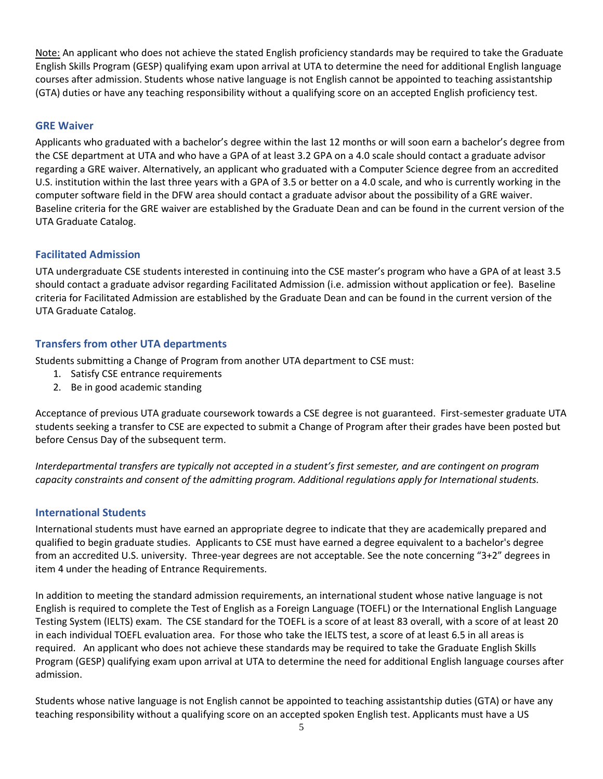Note: An applicant who does not achieve the stated English proficiency standards may be required to take the Graduate English Skills Program (GESP) qualifying exam upon arrival at UTA to determine the need for additional English language courses after admission. Students whose native language is not English cannot be appointed to teaching assistantship (GTA) duties or have any teaching responsibility without a qualifying score on an accepted English proficiency test.

#### <span id="page-4-0"></span>**GRE Waiver**

Applicants who graduated with a bachelor's degree within the last 12 months or will soon earn a bachelor's degree from the CSE department at UTA and who have a GPA of at least 3.2 GPA on a 4.0 scale should contact a graduate advisor regarding a GRE waiver. Alternatively, an applicant who graduated with a Computer Science degree from an accredited U.S. institution within the last three years with a GPA of 3.5 or better on a 4.0 scale, and who is currently working in the computer software field in the DFW area should contact a graduate advisor about the possibility of a GRE waiver. Baseline criteria for the GRE waiver are established by the Graduate Dean and can be found in the current version of the UTA Graduate Catalog.

#### <span id="page-4-1"></span>**Facilitated Admission**

UTA undergraduate CSE students interested in continuing into the CSE master's program who have a GPA of at least 3.5 should contact a graduate advisor regarding Facilitated Admission (i.e. admission without application or fee). Baseline criteria for Facilitated Admission are established by the Graduate Dean and can be found in the current version of the UTA Graduate Catalog.

#### <span id="page-4-2"></span>**Transfers from other UTA departments**

Students submitting a Change of Program from another UTA department to CSE must:

- 1. Satisfy CSE entrance requirements
- 2. Be in good academic standing

Acceptance of previous UTA graduate coursework towards a CSE degree is not guaranteed. First-semester graduate UTA students seeking a transfer to CSE are expected to submit a Change of Program after their grades have been posted but before Census Day of the subsequent term.

*Interdepartmental transfers are typically not accepted in a student's first semester, and are contingent on program capacity constraints and consent of the admitting program. Additional regulations apply for International students.*

#### <span id="page-4-3"></span>**International Students**

International students must have earned an appropriate degree to indicate that they are academically prepared and qualified to begin graduate studies. Applicants to CSE must have earned a degree equivalent to a bachelor's degree from an accredited U.S. university. Three-year degrees are not acceptable. See the note concerning "3+2" degrees in item 4 under the heading of Entrance Requirements.

In addition to meeting the standard admission requirements, an international student whose native language is not English is required to complete the Test of English as a Foreign Language (TOEFL) or the International English Language Testing System (IELTS) exam. The CSE standard for the TOEFL is a score of at least 83 overall, with a score of at least 20 in each individual TOEFL evaluation area. For those who take the IELTS test, a score of at least 6.5 in all areas is required. An applicant who does not achieve these standards may be required to take the Graduate English Skills Program (GESP) qualifying exam upon arrival at UTA to determine the need for additional English language courses after admission.

Students whose native language is not English cannot be appointed to teaching assistantship duties (GTA) or have any teaching responsibility without a qualifying score on an accepted spoken English test. Applicants must have a US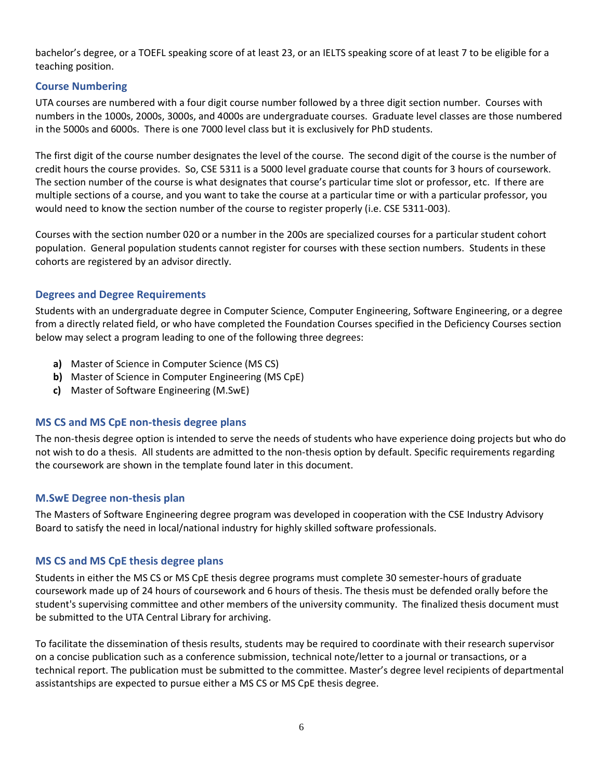bachelor's degree, or a TOEFL speaking score of at least 23, or an IELTS speaking score of at least 7 to be eligible for a teaching position.

#### <span id="page-5-0"></span>**Course Numbering**

UTA courses are numbered with a four digit course number followed by a three digit section number. Courses with numbers in the 1000s, 2000s, 3000s, and 4000s are undergraduate courses. Graduate level classes are those numbered in the 5000s and 6000s. There is one 7000 level class but it is exclusively for PhD students.

The first digit of the course number designates the level of the course. The second digit of the course is the number of credit hours the course provides. So, CSE 5311 is a 5000 level graduate course that counts for 3 hours of coursework. The section number of the course is what designates that course's particular time slot or professor, etc. If there are multiple sections of a course, and you want to take the course at a particular time or with a particular professor, you would need to know the section number of the course to register properly (i.e. CSE 5311-003).

Courses with the section number 020 or a number in the 200s are specialized courses for a particular student cohort population. General population students cannot register for courses with these section numbers. Students in these cohorts are registered by an advisor directly.

#### <span id="page-5-1"></span>**Degrees and Degree Requirements**

Students with an undergraduate degree in Computer Science, Computer Engineering, Software Engineering, or a degree from a directly related field, or who have completed the Foundation Courses specified in the Deficiency Courses section below may select a program leading to one of the following three degrees:

- **a)** Master of Science in Computer Science (MS CS)
- **b)** Master of Science in Computer Engineering (MS CpE)
- **c)** Master of Software Engineering (M.SwE)

#### <span id="page-5-2"></span>**MS CS and MS CpE non-thesis degree plans**

The non-thesis degree option is intended to serve the needs of students who have experience doing projects but who do not wish to do a thesis. All students are admitted to the non-thesis option by default. Specific requirements regarding the coursework are shown in the template found later in this document.

#### <span id="page-5-3"></span>**M.SwE Degree non-thesis plan**

The Masters of Software Engineering degree program was developed in cooperation with the CSE Industry Advisory Board to satisfy the need in local/national industry for highly skilled software professionals.

#### <span id="page-5-4"></span>**MS CS and MS CpE thesis degree plans**

Students in either the MS CS or MS CpE thesis degree programs must complete 30 semester-hours of graduate coursework made up of 24 hours of coursework and 6 hours of thesis. The thesis must be defended orally before the student's supervising committee and other members of the university community. The finalized thesis document must be submitted to the UTA Central Library for archiving.

To facilitate the dissemination of thesis results, students may be required to coordinate with their research supervisor on a concise publication such as a conference submission, technical note/letter to a journal or transactions, or a technical report. The publication must be submitted to the committee. Master's degree level recipients of departmental assistantships are expected to pursue either a MS CS or MS CpE thesis degree.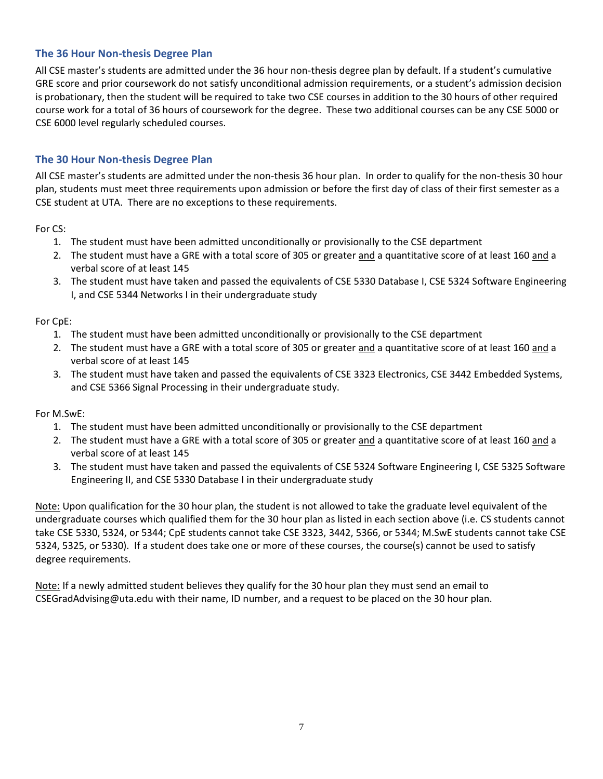#### <span id="page-6-0"></span>**The 36 Hour Non-thesis Degree Plan**

All CSE master's students are admitted under the 36 hour non-thesis degree plan by default. If a student's cumulative GRE score and prior coursework do not satisfy unconditional admission requirements, or a student's admission decision is probationary, then the student will be required to take two CSE courses in addition to the 30 hours of other required course work for a total of 36 hours of coursework for the degree. These two additional courses can be any CSE 5000 or CSE 6000 level regularly scheduled courses.

#### <span id="page-6-1"></span>**The 30 Hour Non-thesis Degree Plan**

All CSE master's students are admitted under the non-thesis 36 hour plan. In order to qualify for the non-thesis 30 hour plan, students must meet three requirements upon admission or before the first day of class of their first semester as a CSE student at UTA. There are no exceptions to these requirements.

For CS:

- 1. The student must have been admitted unconditionally or provisionally to the CSE department
- 2. The student must have a GRE with a total score of 305 or greater and a quantitative score of at least 160 and a verbal score of at least 145
- 3. The student must have taken and passed the equivalents of CSE 5330 Database I, CSE 5324 Software Engineering I, and CSE 5344 Networks I in their undergraduate study

#### For CpE:

- 1. The student must have been admitted unconditionally or provisionally to the CSE department
- 2. The student must have a GRE with a total score of 305 or greater and a quantitative score of at least 160 and a verbal score of at least 145
- 3. The student must have taken and passed the equivalents of CSE 3323 Electronics, CSE 3442 Embedded Systems, and CSE 5366 Signal Processing in their undergraduate study.

#### For M.SwE:

- 1. The student must have been admitted unconditionally or provisionally to the CSE department
- 2. The student must have a GRE with a total score of 305 or greater and a quantitative score of at least 160 and a verbal score of at least 145
- 3. The student must have taken and passed the equivalents of CSE 5324 Software Engineering I, CSE 5325 Software Engineering II, and CSE 5330 Database I in their undergraduate study

Note: Upon qualification for the 30 hour plan, the student is not allowed to take the graduate level equivalent of the undergraduate courses which qualified them for the 30 hour plan as listed in each section above (i.e. CS students cannot take CSE 5330, 5324, or 5344; CpE students cannot take CSE 3323, 3442, 5366, or 5344; M.SwE students cannot take CSE 5324, 5325, or 5330). If a student does take one or more of these courses, the course(s) cannot be used to satisfy degree requirements.

Note: If a newly admitted student believes they qualify for the 30 hour plan they must send an email to [CSEGradAdvising@uta.edu](mailto:CSEGradAdvising@uta.edu) with their name, ID number, and a request to be placed on the 30 hour plan.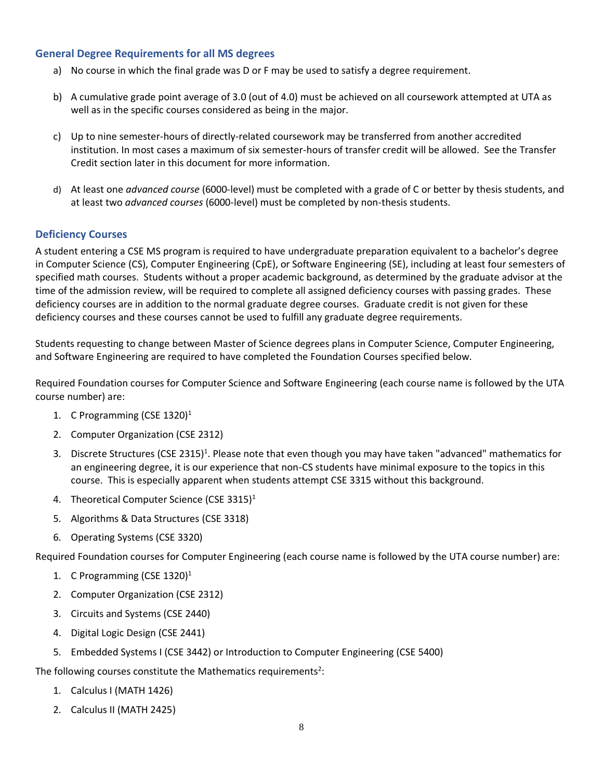#### <span id="page-7-0"></span>**General Degree Requirements for all MS degrees**

- a) No course in which the final grade was D or F may be used to satisfy a degree requirement.
- b) A cumulative grade point average of 3.0 (out of 4.0) must be achieved on all coursework attempted at UTA as well as in the specific courses considered as being in the major.
- c) Up to nine semester-hours of directly-related coursework may be transferred from another accredited institution. In most cases a maximum of six semester-hours of transfer credit will be allowed. See the Transfer Credit section later in this document for more information.
- d) At least one *advanced course* (6000-level) must be completed with a grade of C or better by thesis students, and at least two *advanced courses* (6000-level) must be completed by non-thesis students.

#### <span id="page-7-1"></span>**Deficiency Courses**

A student entering a CSE MS program is required to have undergraduate preparation equivalent to a bachelor's degree in Computer Science (CS), Computer Engineering (CpE), or Software Engineering (SE), including at least four semesters of specified math courses. Students without a proper academic background, as determined by the graduate advisor at the time of the admission review, will be required to complete all assigned deficiency courses with passing grades. These deficiency courses are in addition to the normal graduate degree courses. Graduate credit is not given for these deficiency courses and these courses cannot be used to fulfill any graduate degree requirements.

Students requesting to change between Master of Science degrees plans in Computer Science, Computer Engineering, and Software Engineering are required to have completed the Foundation Courses specified below.

Required Foundation courses for Computer Science and Software Engineering (each course name is followed by the UTA course number) are:

- 1. C Programming (CSE 1320)<sup>1</sup>
- 2. Computer Organization (CSE 2312)
- 3. Discrete Structures (CSE 2315)<sup>1</sup>. Please note that even though you may have taken "advanced" mathematics for an engineering degree, it is our experience that non-CS students have minimal exposure to the topics in this course. This is especially apparent when students attempt CSE 3315 without this background.
- 4. Theoretical Computer Science (CSE 3315)<sup>1</sup>
- 5. Algorithms & Data Structures (CSE 3318)
- 6. Operating Systems (CSE 3320)

Required Foundation courses for Computer Engineering (each course name is followed by the UTA course number) are:

- 1. C Programming (CSE 1320)<sup>1</sup>
- 2. Computer Organization (CSE 2312)
- 3. Circuits and Systems (CSE 2440)
- 4. Digital Logic Design (CSE 2441)
- 5. Embedded Systems I (CSE 3442) or Introduction to Computer Engineering (CSE 5400)

The following courses constitute the Mathematics requirements<sup>2</sup>:

- 1. Calculus I (MATH 1426)
- 2. Calculus II (MATH 2425)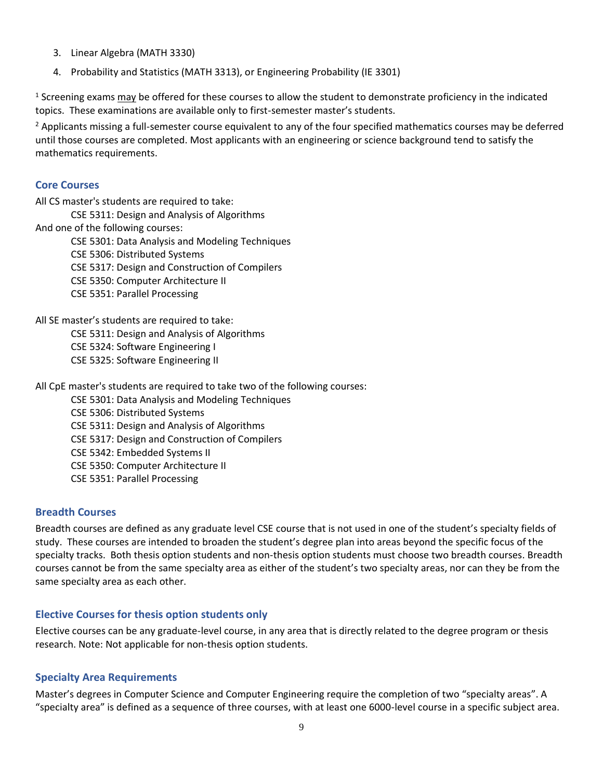- 3. Linear Algebra (MATH 3330)
- 4. Probability and Statistics (MATH 3313), or Engineering Probability (IE 3301)

 $1$  Screening exams may be offered for these courses to allow the student to demonstrate proficiency in the indicated topics. These examinations are available only to first-semester master's students.

 $<sup>2</sup>$  Applicants missing a full-semester course equivalent to any of the four specified mathematics courses may be deferred</sup> until those courses are completed. Most applicants with an engineering or science background tend to satisfy the mathematics requirements.

#### <span id="page-8-0"></span>**Core Courses**

All CS master's students are required to take: CSE 5311: Design and Analysis of Algorithms And one of the following courses: CSE 5301: Data Analysis and Modeling Techniques CSE 5306: Distributed Systems CSE 5317: Design and Construction of Compilers CSE 5350: Computer Architecture II CSE 5351: Parallel Processing

All SE master's students are required to take:

CSE 5311: Design and Analysis of Algorithms

CSE 5324: Software Engineering I

CSE 5325: Software Engineering II

All CpE master's students are required to take two of the following courses:

CSE 5301: Data Analysis and Modeling Techniques

CSE 5306: Distributed Systems CSE 5311: Design and Analysis of Algorithms CSE 5317: Design and Construction of Compilers CSE 5342: Embedded Systems II CSE 5350: Computer Architecture II

CSE 5351: Parallel Processing

#### <span id="page-8-1"></span>**Breadth Courses**

Breadth courses are defined as any graduate level CSE course that is not used in one of the student's specialty fields of study. These courses are intended to broaden the student's degree plan into areas beyond the specific focus of the specialty tracks. Both thesis option students and non-thesis option students must choose two breadth courses. Breadth courses cannot be from the same specialty area as either of the student's two specialty areas, nor can they be from the same specialty area as each other.

#### <span id="page-8-2"></span>**Elective Courses for thesis option students only**

Elective courses can be any graduate-level course, in any area that is directly related to the degree program or thesis research. Note: Not applicable for non-thesis option students.

#### <span id="page-8-3"></span>**Specialty Area Requirements**

Master's degrees in Computer Science and Computer Engineering require the completion of two "specialty areas". A "specialty area" is defined as a sequence of three courses, with at least one 6000-level course in a specific subject area.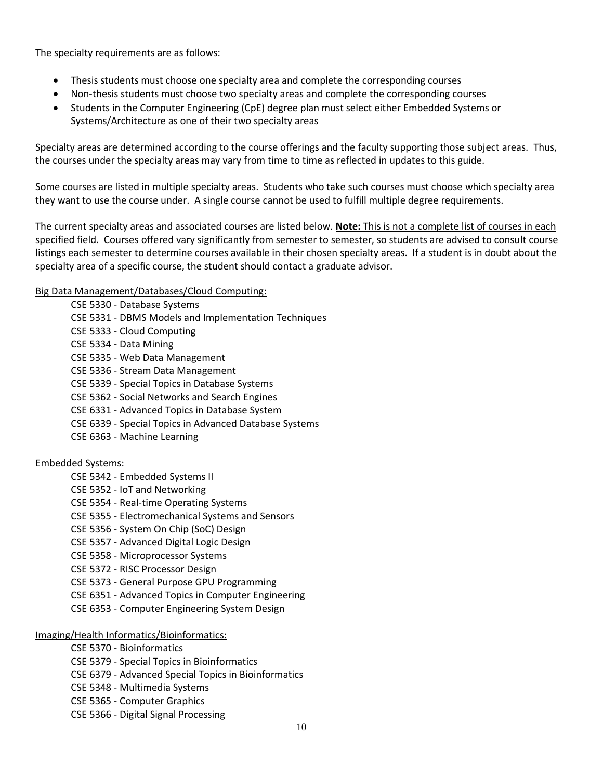The specialty requirements are as follows:

- Thesis students must choose one specialty area and complete the corresponding courses
- Non-thesis students must choose two specialty areas and complete the corresponding courses
- Students in the Computer Engineering (CpE) degree plan must select either Embedded Systems or Systems/Architecture as one of their two specialty areas

Specialty areas are determined according to the course offerings and the faculty supporting those subject areas. Thus, the courses under the specialty areas may vary from time to time as reflected in updates to this guide.

Some courses are listed in multiple specialty areas. Students who take such courses must choose which specialty area they want to use the course under. A single course cannot be used to fulfill multiple degree requirements.

The current specialty areas and associated courses are listed below. **Note:** This is not a complete list of courses in each specified field. Courses offered vary significantly from semester to semester, so students are advised to consult course listings each semester to determine courses available in their chosen specialty areas. If a student is in doubt about the specialty area of a specific course, the student should contact a graduate advisor.

#### Big Data Management/Databases/Cloud Computing:

CSE 5330 - Database Systems

- CSE 5331 DBMS Models and Implementation Techniques
- CSE 5333 Cloud Computing
- CSE 5334 Data Mining
- CSE 5335 Web Data Management
- CSE 5336 Stream Data Management
- CSE 5339 Special Topics in Database Systems
- CSE 5362 Social Networks and Search Engines
- CSE 6331 Advanced Topics in Database System
- CSE 6339 Special Topics in Advanced Database Systems
- CSE 6363 Machine Learning

#### Embedded Systems:

- CSE 5342 Embedded Systems II
- CSE 5352 IoT and Networking
- CSE 5354 Real-time Operating Systems
- CSE 5355 Electromechanical Systems and Sensors
- CSE 5356 System On Chip (SoC) Design
- CSE 5357 Advanced Digital Logic Design
- CSE 5358 Microprocessor Systems
- CSE 5372 RISC Processor Design
- CSE 5373 General Purpose GPU Programming
- CSE 6351 Advanced Topics in Computer Engineering
- CSE 6353 Computer Engineering System Design

#### Imaging/Health Informatics/Bioinformatics:

- CSE 5370 Bioinformatics
- CSE 5379 Special Topics in Bioinformatics
- CSE 6379 Advanced Special Topics in Bioinformatics
- CSE 5348 Multimedia Systems
- CSE 5365 Computer Graphics
- CSE 5366 Digital Signal Processing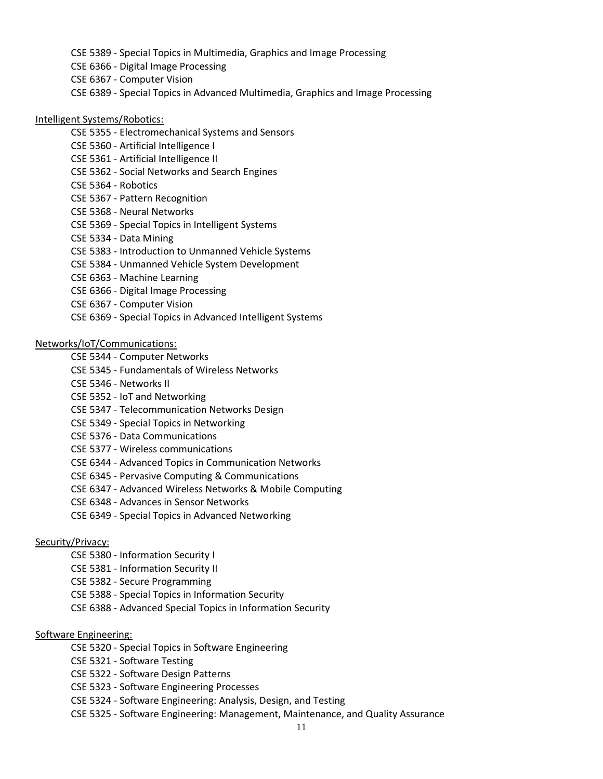- CSE 5389 Special Topics in Multimedia, Graphics and Image Processing
- CSE 6366 Digital Image Processing
- CSE 6367 Computer Vision
- CSE 6389 Special Topics in Advanced Multimedia, Graphics and Image Processing

#### Intelligent Systems/Robotics:

- CSE 5355 Electromechanical Systems and Sensors
- CSE 5360 Artificial Intelligence I
- CSE 5361 Artificial Intelligence II
- CSE 5362 Social Networks and Search Engines
- CSE 5364 Robotics
- CSE 5367 Pattern Recognition
- CSE 5368 Neural Networks
- CSE 5369 Special Topics in Intelligent Systems
- CSE 5334 Data Mining
- CSE 5383 Introduction to Unmanned Vehicle Systems
- CSE 5384 Unmanned Vehicle System Development
- CSE 6363 Machine Learning
- CSE 6366 Digital Image Processing
- CSE 6367 Computer Vision
- CSE 6369 Special Topics in Advanced Intelligent Systems

Networks/IoT/Communications:

- CSE 5344 Computer Networks
- CSE 5345 Fundamentals of Wireless Networks
- CSE 5346 Networks II
- CSE 5352 IoT and Networking
- CSE 5347 Telecommunication Networks Design
- CSE 5349 Special Topics in Networking
- CSE 5376 Data Communications
- CSE 5377 Wireless communications
- CSE 6344 Advanced Topics in Communication Networks
- CSE 6345 Pervasive Computing & Communications
- CSE 6347 Advanced Wireless Networks & Mobile Computing
- CSE 6348 Advances in Sensor Networks
- CSE 6349 Special Topics in Advanced Networking

#### Security/Privacy:

- CSE 5380 Information Security I
- CSE 5381 Information Security II
- CSE 5382 Secure Programming
- CSE 5388 Special Topics in Information Security
- CSE 6388 Advanced Special Topics in Information Security

#### Software Engineering:

- CSE 5320 Special Topics in Software Engineering
- CSE 5321 Software Testing
- CSE 5322 Software Design Patterns
- CSE 5323 Software Engineering Processes
- CSE 5324 Software Engineering: Analysis, Design, and Testing
- CSE 5325 Software Engineering: Management, Maintenance, and Quality Assurance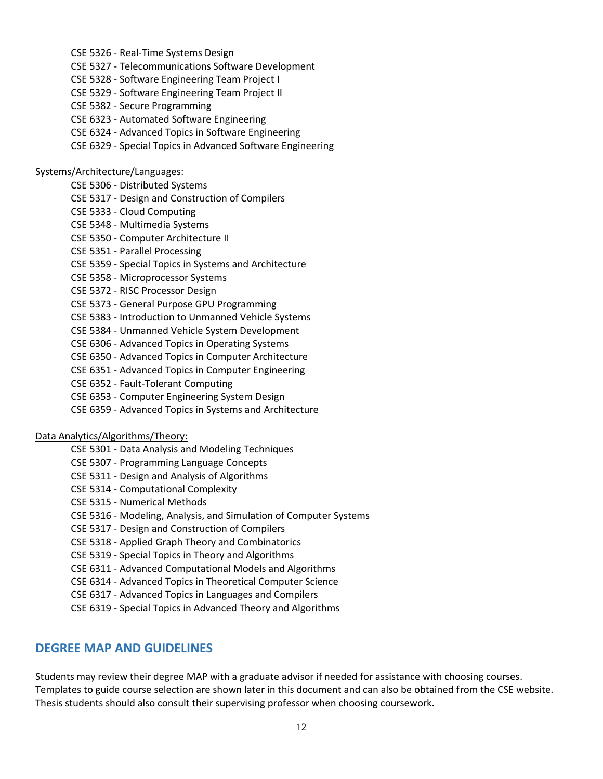- CSE 5326 Real-Time Systems Design
- CSE 5327 Telecommunications Software Development
- CSE 5328 Software Engineering Team Project I
- CSE 5329 Software Engineering Team Project II
- CSE 5382 Secure Programming
- CSE 6323 Automated Software Engineering
- CSE 6324 Advanced Topics in Software Engineering
- CSE 6329 Special Topics in Advanced Software Engineering

#### Systems/Architecture/Languages:

- CSE 5306 Distributed Systems
- CSE 5317 Design and Construction of Compilers
- CSE 5333 Cloud Computing
- CSE 5348 Multimedia Systems
- CSE 5350 Computer Architecture II
- CSE 5351 Parallel Processing
- CSE 5359 Special Topics in Systems and Architecture
- CSE 5358 Microprocessor Systems
- CSE 5372 RISC Processor Design
- CSE 5373 General Purpose GPU Programming
- CSE 5383 Introduction to Unmanned Vehicle Systems
- CSE 5384 Unmanned Vehicle System Development
- CSE 6306 Advanced Topics in Operating Systems
- CSE 6350 Advanced Topics in Computer Architecture
- CSE 6351 Advanced Topics in Computer Engineering
- CSE 6352 Fault-Tolerant Computing
- CSE 6353 Computer Engineering System Design
- CSE 6359 Advanced Topics in Systems and Architecture

#### Data Analytics/Algorithms/Theory:

- CSE 5301 Data Analysis and Modeling Techniques
- CSE 5307 Programming Language Concepts
- CSE 5311 Design and Analysis of Algorithms
- CSE 5314 Computational Complexity
- CSE 5315 Numerical Methods
- CSE 5316 Modeling, Analysis, and Simulation of Computer Systems
- CSE 5317 Design and Construction of Compilers
- CSE 5318 Applied Graph Theory and Combinatorics
- CSE 5319 Special Topics in Theory and Algorithms
- CSE 6311 Advanced Computational Models and Algorithms
- CSE 6314 Advanced Topics in Theoretical Computer Science
- CSE 6317 Advanced Topics in Languages and Compilers
- CSE 6319 Special Topics in Advanced Theory and Algorithms

#### <span id="page-11-0"></span>**DEGREE MAP AND GUIDELINES**

Students may review their degree MAP with a graduate advisor if needed for assistance with choosing courses. Templates to guide course selection are shown later in this document and can also be obtained from the CSE website. Thesis students should also consult their supervising professor when choosing coursework.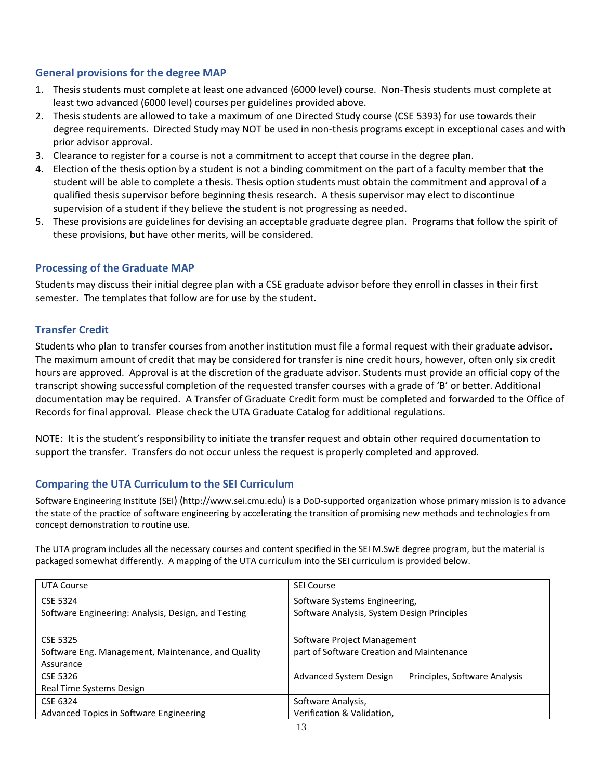#### <span id="page-12-0"></span>**General provisions for the degree MAP**

- 1. Thesis students must complete at least one advanced (6000 level) course. Non-Thesis students must complete at least two advanced (6000 level) courses per guidelines provided above.
- 2. Thesis students are allowed to take a maximum of one Directed Study course (CSE 5393) for use towards their degree requirements. Directed Study may NOT be used in non-thesis programs except in exceptional cases and with prior advisor approval.
- 3. Clearance to register for a course is not a commitment to accept that course in the degree plan.
- 4. Election of the thesis option by a student is not a binding commitment on the part of a faculty member that the student will be able to complete a thesis. Thesis option students must obtain the commitment and approval of a qualified thesis supervisor before beginning thesis research. A thesis supervisor may elect to discontinue supervision of a student if they believe the student is not progressing as needed.
- 5. These provisions are guidelines for devising an acceptable graduate degree plan. Programs that follow the spirit of these provisions, but have other merits, will be considered.

#### <span id="page-12-1"></span>**Processing of the Graduate MAP**

Students may discuss their initial degree plan with a CSE graduate advisor before they enroll in classes in their first semester. The templates that follow are for use by the student.

#### <span id="page-12-2"></span>**Transfer Credit**

Students who plan to transfer courses from another institution must file a formal request with their graduate advisor. The maximum amount of credit that may be considered for transfer is nine credit hours, however, often only six credit hours are approved. Approval is at the discretion of the graduate advisor. Students must provide an official copy of the transcript showing successful completion of the requested transfer courses with a grade of 'B' or better. Additional documentation may be required. A Transfer of Graduate Credit form must be completed and forwarded to the Office of Records for final approval. Please check the UTA Graduate Catalog for additional regulations.

NOTE: It is the student's responsibility to initiate the transfer request and obtain other required documentation to support the transfer. Transfers do not occur unless the request is properly completed and approved.

#### <span id="page-12-3"></span>**Comparing the UTA Curriculum to the SEI Curriculum**

Software Engineering Institute (SEI) ([http://www.sei.cmu.edu](http://www.sei.cmu.edu/)) is a DoD-supported organization whose primary mission is to advance the state of the practice of software engineering by accelerating the transition of promising new methods and technologies from concept demonstration to routine use.

The UTA program includes all the necessary courses and content specified in the SEI M.SwE degree program, but the material is packaged somewhat differently. A mapping of the UTA curriculum into the SEI curriculum is provided below.

<span id="page-12-5"></span><span id="page-12-4"></span>

| UTA Course                                          | <b>SEI Course</b>                                       |  |
|-----------------------------------------------------|---------------------------------------------------------|--|
| CSE 5324                                            | Software Systems Engineering,                           |  |
| Software Engineering: Analysis, Design, and Testing | Software Analysis, System Design Principles             |  |
|                                                     |                                                         |  |
| <b>CSE 5325</b>                                     | Software Project Management                             |  |
| Software Eng. Management, Maintenance, and Quality  | part of Software Creation and Maintenance               |  |
| Assurance                                           |                                                         |  |
| CSE 5326                                            | Advanced System Design<br>Principles, Software Analysis |  |
| Real Time Systems Design                            |                                                         |  |
| CSE 6324                                            | Software Analysis,                                      |  |
| Advanced Topics in Software Engineering             | Verification & Validation,                              |  |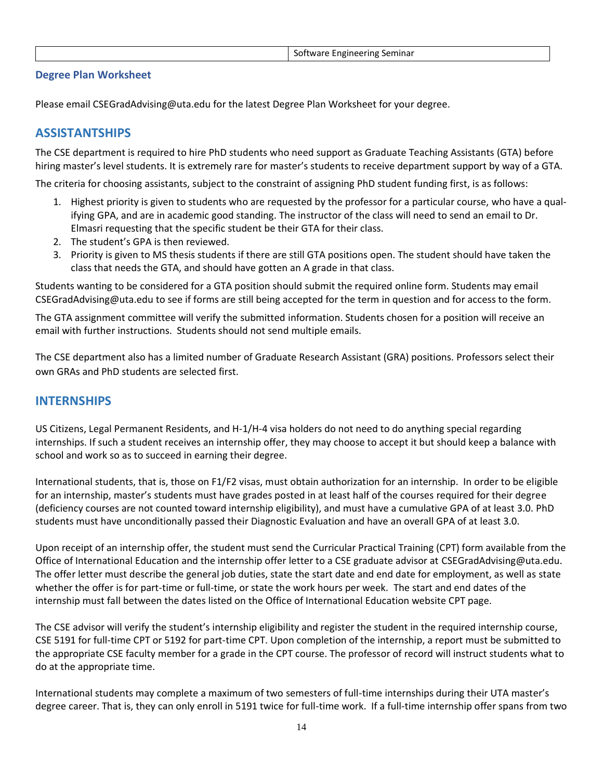| Software Engineering Seminar |  |  |  |
|------------------------------|--|--|--|
|------------------------------|--|--|--|

#### <span id="page-13-0"></span>**Degree Plan Worksheet**

Please email [CSEGradAdvising@uta.edu](mailto:CSEGradAdvising@uta.edu) for the latest Degree Plan Worksheet for your degree.

### <span id="page-13-1"></span>**ASSISTANTSHIPS**

The CSE department is required to hire PhD students who need support as Graduate Teaching Assistants (GTA) before hiring master's level students. It is extremely rare for master's students to receive department support by way of a GTA.

The criteria for choosing assistants, subject to the constraint of assigning PhD student funding first, is as follows:

- 1. Highest priority is given to students who are requested by the professor for a particular course, who have a qualifying GPA, and are in academic good standing. The instructor of the class will need to send an email to Dr. Elmasri requesting that the specific student be their GTA for their class.
- 2. The student's GPA is then reviewed.
- 3. Priority is given to MS thesis students if there are still GTA positions open. The student should have taken the class that needs the GTA, and should have gotten an A grade in that class.

Students wanting to be considered for a GTA position should submit the required online form. Students may email [CSEGradAdvising@uta.edu](mailto:CSEGradAdvising@uta.edu) to see if forms are still being accepted for the term in question and for access to the form.

The GTA assignment committee will verify the submitted information. Students chosen for a position will receive an email with further instructions. Students should not send multiple emails.

The CSE department also has a limited number of Graduate Research Assistant (GRA) positions. Professors select their own GRAs and PhD students are selected first.

#### <span id="page-13-2"></span>**INTERNSHIPS**

US Citizens, Legal Permanent Residents, and H-1/H-4 visa holders do not need to do anything special regarding internships. If such a student receives an internship offer, they may choose to accept it but should keep a balance with school and work so as to succeed in earning their degree.

International students, that is, those on F1/F2 visas, must obtain authorization for an internship. In order to be eligible for an internship, master's students must have grades posted in at least half of the courses required for their degree (deficiency courses are not counted toward internship eligibility), and must have a cumulative GPA of at least 3.0. PhD students must have unconditionally passed their Diagnostic Evaluation and have an overall GPA of at least 3.0.

Upon receipt of an internship offer, the student must send the Curricular Practical Training (CPT) form available from the Office of International Education and the internship offer letter to a CSE graduate advisor at [CSEGradAdvising@uta.edu.](mailto:CSEGradAdvising@uta.edu) The offer letter must describe the general job duties, state the start date and end date for employment, as well as state whether the offer is for part-time or full-time, or state the work hours per week. The start and end dates of the internship must fall between the dates listed on the Office of International Education website CPT page.

The CSE advisor will verify the student's internship eligibility and register the student in the required internship course, CSE 5191 for full-time CPT or 5192 for part-time CPT. Upon completion of the internship, a report must be submitted to the appropriate CSE faculty member for a grade in the CPT course. The professor of record will instruct students what to do at the appropriate time.

International students may complete a maximum of two semesters of full-time internships during their UTA master's degree career. That is, they can only enroll in 5191 twice for full-time work. If a full-time internship offer spans from two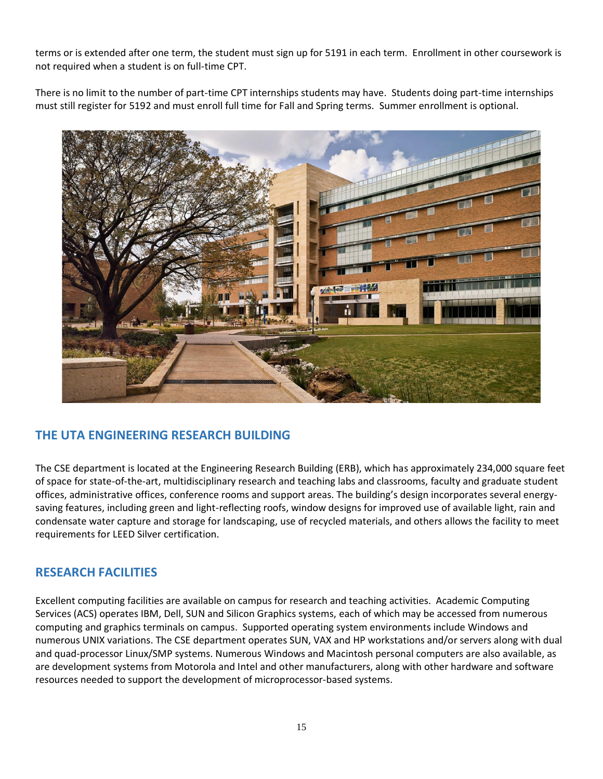terms or is extended after one term, the student must sign up for 5191 in each term. Enrollment in other coursework is not required when a student is on full-time CPT.

There is no limit to the number of part-time CPT internships students may have. Students doing part-time internships must still register for 5192 and must enroll full time for Fall and Spring terms. Summer enrollment is optional.



# <span id="page-14-0"></span>**THE UTA ENGINEERING RESEARCH BUILDING**

The CSE department is located at the Engineering Research Building (ERB), which has approximately 234,000 square feet of space for state-of-the-art, multidisciplinary research and teaching labs and classrooms, faculty and graduate student offices, administrative offices, conference rooms and support areas. The building's design incorporates several energysaving features, including green and light-reflecting roofs, window designs for improved use of available light, rain and condensate water capture and storage for landscaping, use of recycled materials, and others allows the facility to meet requirements for LEED Silver certification.

#### <span id="page-14-1"></span>**RESEARCH FACILITIES**

Excellent computing facilities are available on campus for research and teaching activities. Academic Computing Services (ACS) operates IBM, Dell, SUN and Silicon Graphics systems, each of which may be accessed from numerous computing and graphics terminals on campus. Supported operating system environments include Windows and numerous UNIX variations. The CSE department operates SUN, VAX and HP workstations and/or servers along with dual and quad-processor Linux/SMP systems. Numerous Windows and Macintosh personal computers are also available, as are development systems from Motorola and Intel and other manufacturers, along with other hardware and software resources needed to support the development of microprocessor-based systems.